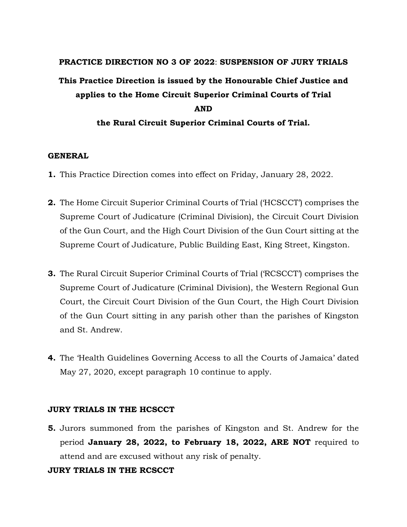# **PRACTICE DIRECTION NO 3 OF 2022**: **SUSPENSION OF JURY TRIALS This Practice Direction is issued by the Honourable Chief Justice and applies to the Home Circuit Superior Criminal Courts of Trial AND the Rural Circuit Superior Criminal Courts of Trial.**

#### **GENERAL**

- **1.** This Practice Direction comes into effect on Friday, January 28, 2022.
- **2.** The Home Circuit Superior Criminal Courts of Trial ('HCSCCT') comprises the Supreme Court of Judicature (Criminal Division), the Circuit Court Division of the Gun Court, and the High Court Division of the Gun Court sitting at the Supreme Court of Judicature, Public Building East, King Street, Kingston.
- **3.** The Rural Circuit Superior Criminal Courts of Trial ('RCSCCT') comprises the Supreme Court of Judicature (Criminal Division), the Western Regional Gun Court, the Circuit Court Division of the Gun Court, the High Court Division of the Gun Court sitting in any parish other than the parishes of Kingston and St. Andrew.
- **4.** The 'Health Guidelines Governing Access to all the Courts of Jamaica' dated May 27, 2020, except paragraph 10 continue to apply.

#### **JURY TRIALS IN THE HCSCCT**

**5.** Jurors summoned from the parishes of Kingston and St. Andrew for the period **January 28, 2022, to February 18, 2022, ARE NOT** required to attend and are excused without any risk of penalty.

### **JURY TRIALS IN THE RCSCCT**